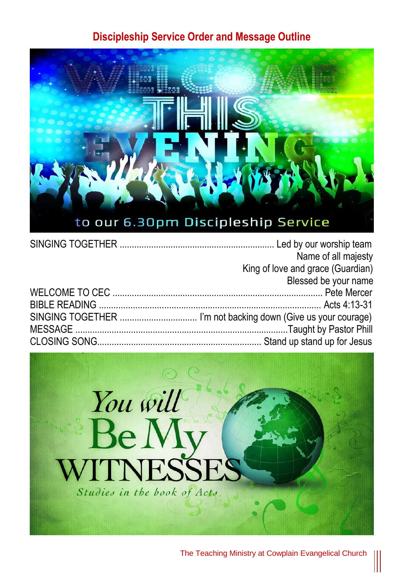## **Discipleship Service Order and Message Outline**



| Name of all majesty               |
|-----------------------------------|
| King of love and grace (Guardian) |
| Blessed be your name              |
|                                   |
|                                   |
|                                   |
|                                   |
|                                   |



The Teaching Ministry at Cowplain Evangelical Church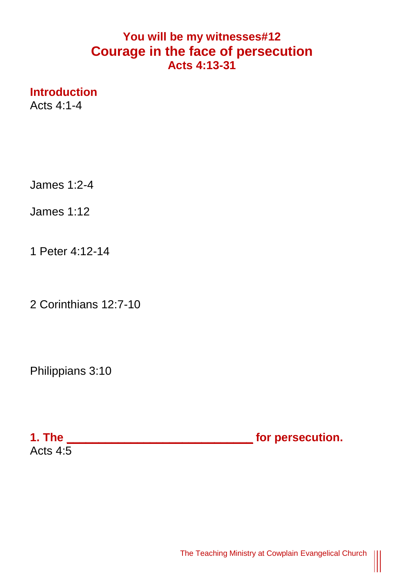## **You will be my witnesses#12 Courage in the face of persecution Acts 4:13-31**

**Introduction**

Acts  $4.1 - 4$ 

James 1:2-4

James 1:12

1 Peter 4:12-14

2 Corinthians 12:7-10

Philippians 3:10

**1. The \_\_\_\_\_\_\_\_\_\_\_\_\_\_\_\_\_\_\_\_\_\_\_\_\_\_\_\_\_ for persecution.**  Acts  $4:5$ 

 $\begin{matrix} \vspace{0.1cm} \vspace{0.1cm} \vspace{0.1cm} \vspace{0.1cm} \vspace{0.1cm} \vspace{0.1cm} \vspace{0.1cm} \vspace{0.1cm} \vspace{0.1cm} \vspace{0.1cm} \vspace{0.1cm} \vspace{0.1cm} \vspace{0.1cm} \vspace{0.1cm} \vspace{0.1cm} \vspace{0.1cm} \vspace{0.1cm} \vspace{0.1cm} \vspace{0.1cm} \vspace{0.1cm} \vspace{0.1cm} \vspace{0.1cm} \vspace{0.1cm} \vspace{0.1cm$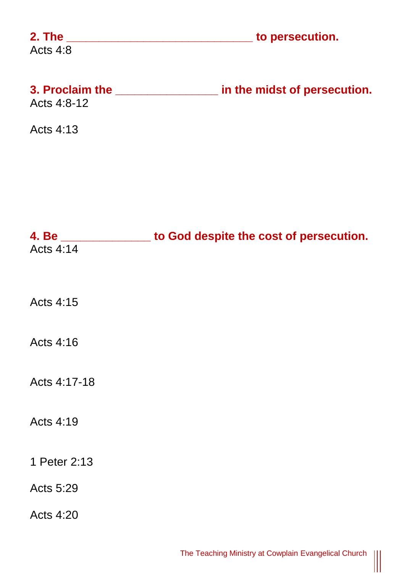| Acts 4:8         |                                                                |
|------------------|----------------------------------------------------------------|
| Acts 4:8-12      | 3. Proclaim the _________________ in the midst of persecution. |
| Acts 4:13        |                                                                |
|                  |                                                                |
|                  |                                                                |
| Acts 4:14        | 4. Be _______________ to God despite the cost of persecution.  |
|                  |                                                                |
| Acts 4:15        |                                                                |
| Acts 4:16        |                                                                |
| Acts 4:17-18     |                                                                |
| Acts 4:19        |                                                                |
|                  |                                                                |
| 1 Peter 2:13     |                                                                |
| Acts 5:29        |                                                                |
| <b>Acts 4:20</b> |                                                                |